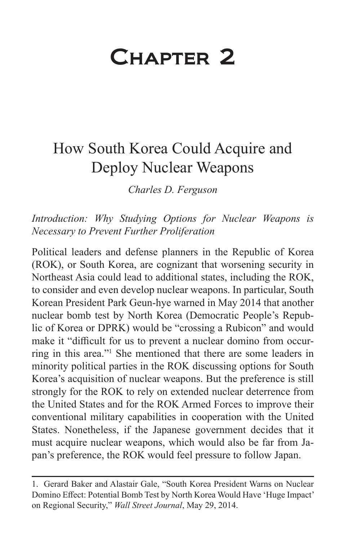# Chapter 2

# How South Korea Could Acquire and Deploy Nuclear Weapons

*Charles D. Ferguson* 

*Introduction: Why Studying Options for Nuclear Weapons is Necessary to Prevent Further Proliferation*

Political leaders and defense planners in the Republic of Korea (ROK), or South Korea, are cognizant that worsening security in Northeast Asia could lead to additional states, including the ROK, to consider and even develop nuclear weapons. In particular, South Korean President Park Geun-hye warned in May 2014 that another nuclear bomb test by North Korea (Democratic People's Republic of Korea or DPRK) would be "crossing a Rubicon" and would make it "difficult for us to prevent a nuclear domino from occurring in this area."1 She mentioned that there are some leaders in minority political parties in the ROK discussing options for South Korea's acquisition of nuclear weapons. But the preference is still strongly for the ROK to rely on extended nuclear deterrence from the United States and for the ROK Armed Forces to improve their conventional military capabilities in cooperation with the United States. Nonetheless, if the Japanese government decides that it must acquire nuclear weapons, which would also be far from Japan's preference, the ROK would feel pressure to follow Japan.

<sup>1.</sup> Gerard Baker and Alastair Gale, "South Korea President Warns on Nuclear Domino Effect: Potential Bomb Test by North Korea Would Have 'Huge Impact' on Regional Security," *Wall Street Journal*, May 29, 2014.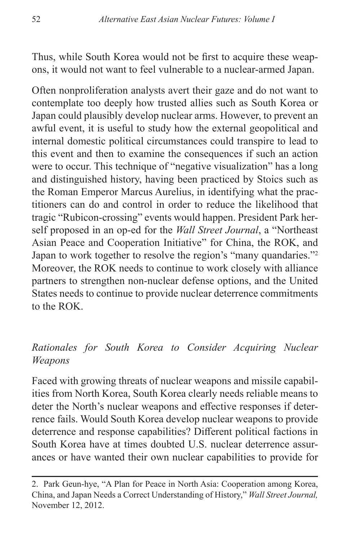Thus, while South Korea would not be first to acquire these weapons, it would not want to feel vulnerable to a nuclear-armed Japan.

Often nonproliferation analysts avert their gaze and do not want to contemplate too deeply how trusted allies such as South Korea or Japan could plausibly develop nuclear arms. However, to prevent an awful event, it is useful to study how the external geopolitical and internal domestic political circumstances could transpire to lead to this event and then to examine the consequences if such an action were to occur. This technique of "negative visualization" has a long and distinguished history, having been practiced by Stoics such as the Roman Emperor Marcus Aurelius, in identifying what the practitioners can do and control in order to reduce the likelihood that tragic "Rubicon-crossing" events would happen. President Park herself proposed in an op-ed for the *Wall Street Journal*, a "Northeast Asian Peace and Cooperation Initiative" for China, the ROK, and Japan to work together to resolve the region's "many quandaries."2 Moreover, the ROK needs to continue to work closely with alliance partners to strengthen non-nuclear defense options, and the United States needs to continue to provide nuclear deterrence commitments to the ROK.

# *Rationales for South Korea to Consider Acquiring Nuclear Weapons*

Faced with growing threats of nuclear weapons and missile capabilities from North Korea, South Korea clearly needs reliable means to deter the North's nuclear weapons and effective responses if deterrence fails. Would South Korea develop nuclear weapons to provide deterrence and response capabilities? Different political factions in South Korea have at times doubted U.S. nuclear deterrence assurances or have wanted their own nuclear capabilities to provide for

<sup>2.</sup> Park Geun-hye, "A Plan for Peace in North Asia: Cooperation among Korea, China, and Japan Needs a Correct Understanding of History," *Wall Street Journal,*  November 12, 2012.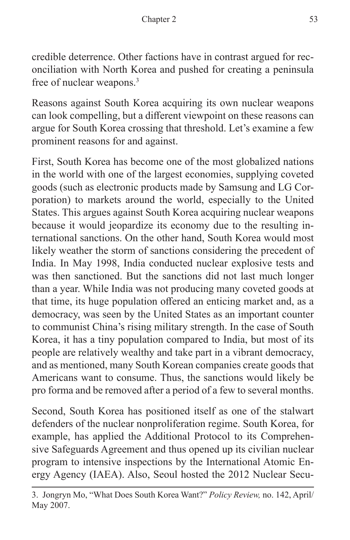credible deterrence. Other factions have in contrast argued for reconciliation with North Korea and pushed for creating a peninsula free of nuclear weapons.3

Reasons against South Korea acquiring its own nuclear weapons can look compelling, but a different viewpoint on these reasons can argue for South Korea crossing that threshold. Let's examine a few prominent reasons for and against.

First, South Korea has become one of the most globalized nations in the world with one of the largest economies, supplying coveted goods (such as electronic products made by Samsung and LG Corporation) to markets around the world, especially to the United States. This argues against South Korea acquiring nuclear weapons because it would jeopardize its economy due to the resulting international sanctions. On the other hand, South Korea would most likely weather the storm of sanctions considering the precedent of India. In May 1998, India conducted nuclear explosive tests and was then sanctioned. But the sanctions did not last much longer than a year. While India was not producing many coveted goods at that time, its huge population offered an enticing market and, as a democracy, was seen by the United States as an important counter to communist China's rising military strength. In the case of South Korea, it has a tiny population compared to India, but most of its people are relatively wealthy and take part in a vibrant democracy, and as mentioned, many South Korean companies create goods that Americans want to consume. Thus, the sanctions would likely be pro forma and be removed after a period of a few to several months.

Second, South Korea has positioned itself as one of the stalwart defenders of the nuclear nonproliferation regime. South Korea, for example, has applied the Additional Protocol to its Comprehensive Safeguards Agreement and thus opened up its civilian nuclear program to intensive inspections by the International Atomic Energy Agency (IAEA). Also, Seoul hosted the 2012 Nuclear Secu-

<sup>3.</sup> Jongryn Mo, "What Does South Korea Want?" *Policy Review,* no. 142, April/ May 2007.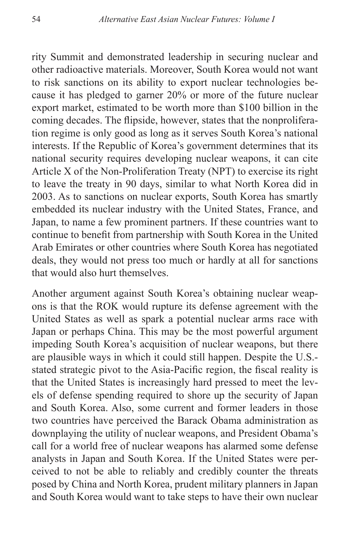rity Summit and demonstrated leadership in securing nuclear and other radioactive materials. Moreover, South Korea would not want to risk sanctions on its ability to export nuclear technologies because it has pledged to garner 20% or more of the future nuclear export market, estimated to be worth more than \$100 billion in the coming decades. The flipside, however, states that the nonproliferation regime is only good as long as it serves South Korea's national interests. If the Republic of Korea's government determines that its national security requires developing nuclear weapons, it can cite Article X of the Non-Proliferation Treaty (NPT) to exercise its right to leave the treaty in 90 days, similar to what North Korea did in 2003. As to sanctions on nuclear exports, South Korea has smartly embedded its nuclear industry with the United States, France, and Japan, to name a few prominent partners. If these countries want to continue to benefit from partnership with South Korea in the United Arab Emirates or other countries where South Korea has negotiated deals, they would not press too much or hardly at all for sanctions that would also hurt themselves.

Another argument against South Korea's obtaining nuclear weapons is that the ROK would rupture its defense agreement with the United States as well as spark a potential nuclear arms race with Japan or perhaps China. This may be the most powerful argument impeding South Korea's acquisition of nuclear weapons, but there are plausible ways in which it could still happen. Despite the U.S. stated strategic pivot to the Asia-Pacific region, the fiscal reality is that the United States is increasingly hard pressed to meet the levels of defense spending required to shore up the security of Japan and South Korea. Also, some current and former leaders in those two countries have perceived the Barack Obama administration as downplaying the utility of nuclear weapons, and President Obama's call for a world free of nuclear weapons has alarmed some defense analysts in Japan and South Korea. If the United States were perceived to not be able to reliably and credibly counter the threats posed by China and North Korea, prudent military planners in Japan and South Korea would want to take steps to have their own nuclear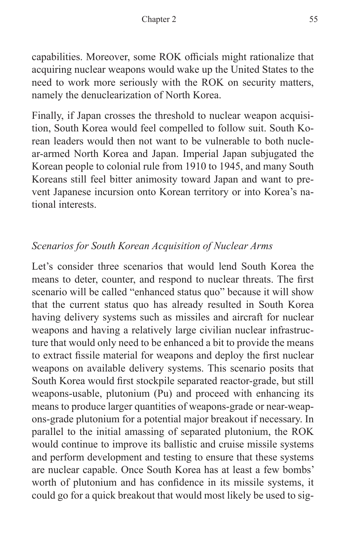capabilities. Moreover, some ROK officials might rationalize that acquiring nuclear weapons would wake up the United States to the need to work more seriously with the ROK on security matters, namely the denuclearization of North Korea.

Finally, if Japan crosses the threshold to nuclear weapon acquisition, South Korea would feel compelled to follow suit. South Korean leaders would then not want to be vulnerable to both nuclear-armed North Korea and Japan. Imperial Japan subjugated the Korean people to colonial rule from 1910 to 1945, and many South Koreans still feel bitter animosity toward Japan and want to prevent Japanese incursion onto Korean territory or into Korea's national interests.

# *Scenarios for South Korean Acquisition of Nuclear Arms*

Let's consider three scenarios that would lend South Korea the means to deter, counter, and respond to nuclear threats. The first scenario will be called "enhanced status quo" because it will show that the current status quo has already resulted in South Korea having delivery systems such as missiles and aircraft for nuclear weapons and having a relatively large civilian nuclear infrastructure that would only need to be enhanced a bit to provide the means to extract fissile material for weapons and deploy the first nuclear weapons on available delivery systems. This scenario posits that South Korea would first stockpile separated reactor-grade, but still weapons-usable, plutonium (Pu) and proceed with enhancing its means to produce larger quantities of weapons-grade or near-weapons-grade plutonium for a potential major breakout if necessary. In parallel to the initial amassing of separated plutonium, the ROK would continue to improve its ballistic and cruise missile systems and perform development and testing to ensure that these systems are nuclear capable. Once South Korea has at least a few bombs' worth of plutonium and has confidence in its missile systems, it could go for a quick breakout that would most likely be used to sig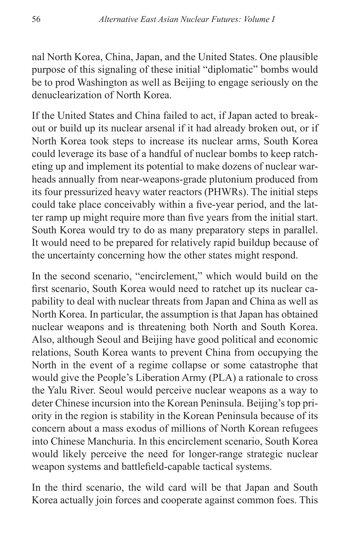nal North Korea, China, Japan, and the United States. One plausible purpose of this signaling of these initial "diplomatic" bombs would be to prod Washington as well as Beijing to engage seriously on the denuclearization of North Korea.

If the United States and China failed to act, if Japan acted to breakout or build up its nuclear arsenal if it had already broken out, or if North Korea took steps to increase its nuclear arms, South Korea could leverage its base of a handful of nuclear bombs to keep ratcheting up and implement its potential to make dozens of nuclear warheads annually from near-weapons-grade plutonium produced from its four pressurized heavy water reactors (PHWRs). The initial steps could take place conceivably within a five-year period, and the latter ramp up might require more than five years from the initial start. South Korea would try to do as many preparatory steps in parallel. It would need to be prepared for relatively rapid buildup because of the uncertainty concerning how the other states might respond.

In the second scenario, "encirclement," which would build on the first scenario, South Korea would need to ratchet up its nuclear capability to deal with nuclear threats from Japan and China as well as North Korea. In particular, the assumption is that Japan has obtained nuclear weapons and is threatening both North and South Korea. Also, although Seoul and Beijing have good political and economic relations, South Korea wants to prevent China from occupying the North in the event of a regime collapse or some catastrophe that would give the People's Liberation Army (PLA) a rationale to cross the Yalu River. Seoul would perceive nuclear weapons as a way to deter Chinese incursion into the Korean Peninsula. Beijing's top priority in the region is stability in the Korean Peninsula because of its concern about a mass exodus of millions of North Korean refugees into Chinese Manchuria. In this encirclement scenario, South Korea would likely perceive the need for longer-range strategic nuclear weapon systems and battlefield-capable tactical systems.

In the third scenario, the wild card will be that Japan and South Korea actually join forces and cooperate against common foes. This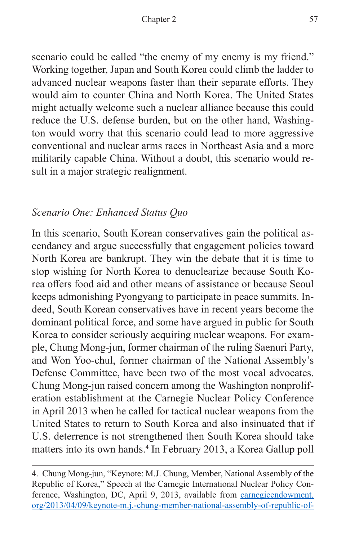scenario could be called "the enemy of my enemy is my friend." Working together, Japan and South Korea could climb the ladder to advanced nuclear weapons faster than their separate efforts. They would aim to counter China and North Korea. The United States might actually welcome such a nuclear alliance because this could reduce the U.S. defense burden, but on the other hand, Washington would worry that this scenario could lead to more aggressive conventional and nuclear arms races in Northeast Asia and a more militarily capable China. Without a doubt, this scenario would result in a major strategic realignment.

## *Scenario One: Enhanced Status Quo*

In this scenario, South Korean conservatives gain the political ascendancy and argue successfully that engagement policies toward North Korea are bankrupt. They win the debate that it is time to stop wishing for North Korea to denuclearize because South Korea offers food aid and other means of assistance or because Seoul keeps admonishing Pyongyang to participate in peace summits. Indeed, South Korean conservatives have in recent years become the dominant political force, and some have argued in public for South Korea to consider seriously acquiring nuclear weapons. For example, Chung Mong-jun, former chairman of the ruling Saenuri Party, and Won Yoo-chul, former chairman of the National Assembly's Defense Committee, have been two of the most vocal advocates. Chung Mong-jun raised concern among the Washington nonproliferation establishment at the Carnegie Nuclear Policy Conference in April 2013 when he called for tactical nuclear weapons from the United States to return to South Korea and also insinuated that if U.S. deterrence is not strengthened then South Korea should take matters into its own hands.4 In February 2013, a Korea Gallup poll

<sup>4.</sup> Chung Mong-jun, "Keynote: M.J. Chung, Member, National Assembly of the Republic of Korea," Speech at the Carnegie International Nuclear Policy Conference, Washington, DC, April 9, 2013, available from [carnegieendowment.](http://carnegieendowment.org/2013/04/09/keynote-m.j.-chung-member-national-assembly-of-republic-of-korea/fv9t) [org/2013/04/09/keynote-m.j.-chung-member-national-assembly-of-republic-of-](http://carnegieendowment.org/2013/04/09/keynote-m.j.-chung-member-national-assembly-of-republic-of-korea/fv9t)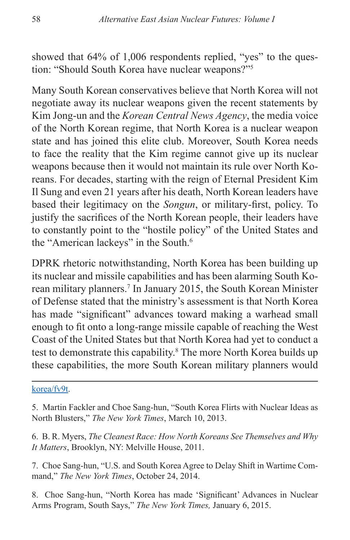showed that 64% of 1,006 respondents replied, "yes" to the question: "Should South Korea have nuclear weapons?"5

Many South Korean conservatives believe that North Korea will not negotiate away its nuclear weapons given the recent statements by Kim Jong-un and the *Korean Central News Agency*, the media voice of the North Korean regime, that North Korea is a nuclear weapon state and has joined this elite club. Moreover, South Korea needs to face the reality that the Kim regime cannot give up its nuclear weapons because then it would not maintain its rule over North Koreans. For decades, starting with the reign of Eternal President Kim Il Sung and even 21 years after his death, North Korean leaders have based their legitimacy on the *Songun*, or military-first, policy. To justify the sacrifices of the North Korean people, their leaders have to constantly point to the "hostile policy" of the United States and the "American lackeys" in the South.<sup>6</sup>

DPRK rhetoric notwithstanding, North Korea has been building up its nuclear and missile capabilities and has been alarming South Korean military planners.<sup>7</sup> In January 2015, the South Korean Minister of Defense stated that the ministry's assessment is that North Korea has made "significant" advances toward making a warhead small enough to fit onto a long-range missile capable of reaching the West Coast of the United States but that North Korea had yet to conduct a test to demonstrate this capability.<sup>8</sup> The more North Korea builds up these capabilities, the more South Korean military planners would

#### [korea/fv9t](http://carnegieendowment.org/2013/04/09/keynote-m.j.-chung-member-national-assembly-of-republic-of-korea/fv9t).

- 5. Martin Fackler and Choe Sang-hun, "South Korea Flirts with Nuclear Ideas as North Blusters," *The New York Times*, March 10, 2013.
- 6. B. R. Myers, *The Cleanest Race: How North Koreans See Themselves and Why It Matters*, Brooklyn, NY: Melville House, 2011.
- 7. Choe Sang-hun, "U.S. and South Korea Agree to Delay Shift in Wartime Command," *The New York Times*, October 24, 2014.
- 8. Choe Sang-hun, "North Korea has made 'Significant' Advances in Nuclear Arms Program, South Says," *The New York Times,* January 6, 2015.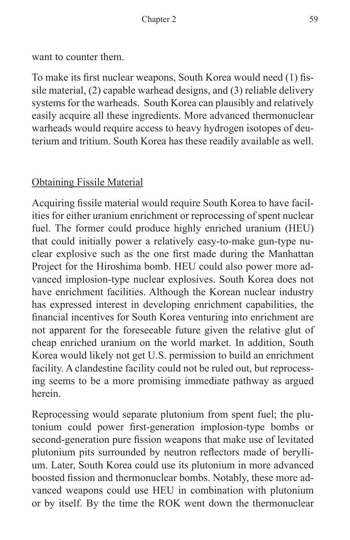want to counter them.

To make its first nuclear weapons, South Korea would need (1) fissile material, (2) capable warhead designs, and (3) reliable delivery systems for the warheads. South Korea can plausibly and relatively easily acquire all these ingredients. More advanced thermonuclear warheads would require access to heavy hydrogen isotopes of deuterium and tritium. South Korea has these readily available as well.

# Obtaining Fissile Material

Acquiring fissile material would require South Korea to have facilities for either uranium enrichment or reprocessing of spent nuclear fuel. The former could produce highly enriched uranium (HEU) that could initially power a relatively easy-to-make gun-type nuclear explosive such as the one first made during the Manhattan Project for the Hiroshima bomb. HEU could also power more advanced implosion-type nuclear explosives. South Korea does not have enrichment facilities. Although the Korean nuclear industry has expressed interest in developing enrichment capabilities, the financial incentives for South Korea venturing into enrichment are not apparent for the foreseeable future given the relative glut of cheap enriched uranium on the world market. In addition, South Korea would likely not get U.S. permission to build an enrichment facility. A clandestine facility could not be ruled out, but reprocessing seems to be a more promising immediate pathway as argued herein.

Reprocessing would separate plutonium from spent fuel; the plutonium could power first-generation implosion-type bombs or second-generation pure fission weapons that make use of levitated plutonium pits surrounded by neutron reflectors made of beryllium. Later, South Korea could use its plutonium in more advanced boosted fission and thermonuclear bombs. Notably, these more advanced weapons could use HEU in combination with plutonium or by itself. By the time the ROK went down the thermonuclear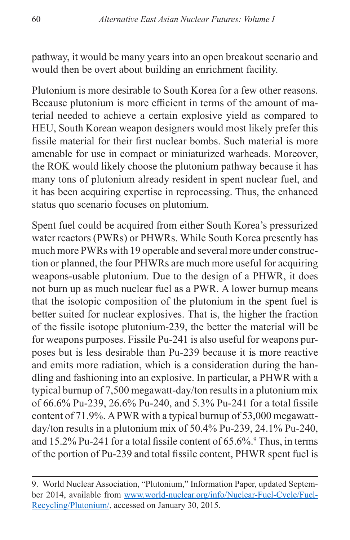pathway, it would be many years into an open breakout scenario and would then be overt about building an enrichment facility.

Plutonium is more desirable to South Korea for a few other reasons. Because plutonium is more efficient in terms of the amount of material needed to achieve a certain explosive yield as compared to HEU, South Korean weapon designers would most likely prefer this fissile material for their first nuclear bombs. Such material is more amenable for use in compact or miniaturized warheads. Moreover, the ROK would likely choose the plutonium pathway because it has many tons of plutonium already resident in spent nuclear fuel, and it has been acquiring expertise in reprocessing. Thus, the enhanced status quo scenario focuses on plutonium.

Spent fuel could be acquired from either South Korea's pressurized water reactors (PWRs) or PHWRs. While South Korea presently has much more PWRs with 19 operable and several more under construction or planned, the four PHWRs are much more useful for acquiring weapons-usable plutonium. Due to the design of a PHWR, it does not burn up as much nuclear fuel as a PWR. A lower burnup means that the isotopic composition of the plutonium in the spent fuel is better suited for nuclear explosives. That is, the higher the fraction of the fissile isotope plutonium-239, the better the material will be for weapons purposes. Fissile Pu-241 is also useful for weapons purposes but is less desirable than Pu-239 because it is more reactive and emits more radiation, which is a consideration during the handling and fashioning into an explosive. In particular, a PHWR with a typical burnup of 7,500 megawatt-day/ton results in a plutonium mix of 66.6% Pu-239, 26.6% Pu-240, and 5.3% Pu-241 for a total fissile content of 71.9%. A PWR with a typical burnup of 53,000 megawattday/ton results in a plutonium mix of 50.4% Pu-239, 24.1% Pu-240, and  $15.2\%$  Pu-241 for a total fissile content of  $65.6\%$ . Thus, in terms of the portion of Pu-239 and total fissile content, PHWR spent fuel is

<sup>9.</sup> World Nuclear Association, "Plutonium," Information Paper, updated September 2014, available from [www.world-nuclear.org/info/Nuclear-Fuel-Cycle/Fuel-](http://www.world-nuclear.org/information-library/nuclear-fuel-cycle/fuel-recycling/plutonium.aspx)[Recycling/Plutonium/,](http://www.world-nuclear.org/information-library/nuclear-fuel-cycle/fuel-recycling/plutonium.aspx) accessed on January 30, 2015.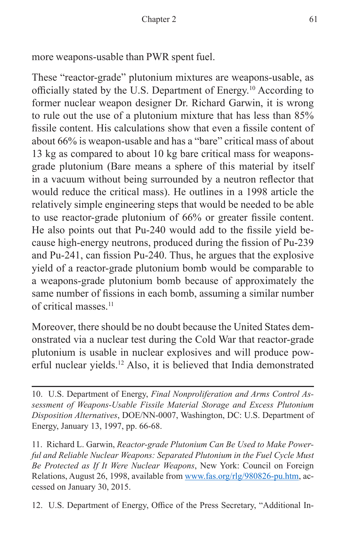more weapons-usable than PWR spent fuel.

These "reactor-grade" plutonium mixtures are weapons-usable, as officially stated by the U.S. Department of Energy.10 According to former nuclear weapon designer Dr. Richard Garwin, it is wrong to rule out the use of a plutonium mixture that has less than 85% fissile content. His calculations show that even a fissile content of about 66% is weapon-usable and has a "bare" critical mass of about 13 kg as compared to about 10 kg bare critical mass for weaponsgrade plutonium (Bare means a sphere of this material by itself in a vacuum without being surrounded by a neutron reflector that would reduce the critical mass). He outlines in a 1998 article the relatively simple engineering steps that would be needed to be able to use reactor-grade plutonium of 66% or greater fissile content. He also points out that Pu-240 would add to the fissile yield because high-energy neutrons, produced during the fission of Pu-239 and Pu-241, can fission Pu-240. Thus, he argues that the explosive yield of a reactor-grade plutonium bomb would be comparable to a weapons-grade plutonium bomb because of approximately the same number of fissions in each bomb, assuming a similar number of critical masses.11

Moreover, there should be no doubt because the United States demonstrated via a nuclear test during the Cold War that reactor-grade plutonium is usable in nuclear explosives and will produce powerful nuclear yields.12 Also, it is believed that India demonstrated

10. U.S. Department of Energy, *Final Nonproliferation and Arms Control Assessment of Weapons-Usable Fissile Material Storage and Excess Plutonium Disposition Alternatives*, DOE/NN-0007, Washington, DC: U.S. Department of Energy, January 13, 1997, pp. 66-68.

11. Richard L. Garwin, *Reactor-grade Plutonium Can Be Used to Make Powerful and Reliable Nuclear Weapons: Separated Plutonium in the Fuel Cycle Must Be Protected as If It Were Nuclear Weapons*, New York: Council on Foreign Relations, August 26, 1998, available from<www.fas.org/rlg/980826-pu.htm>, accessed on January 30, 2015.

12. U.S. Department of Energy, Office of the Press Secretary, "Additional In-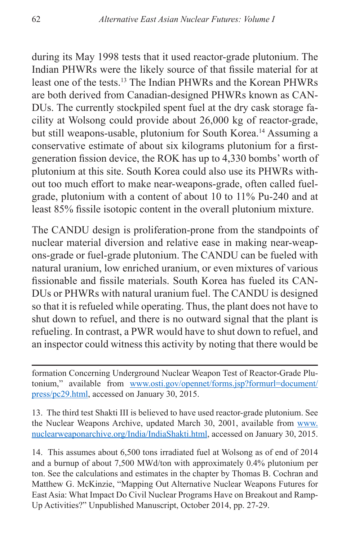during its May 1998 tests that it used reactor-grade plutonium. The Indian PHWRs were the likely source of that fissile material for at least one of the tests.13 The Indian PHWRs and the Korean PHWRs are both derived from Canadian-designed PHWRs known as CAN-DUs. The currently stockpiled spent fuel at the dry cask storage facility at Wolsong could provide about 26,000 kg of reactor-grade, but still weapons-usable, plutonium for South Korea.<sup>14</sup> Assuming a conservative estimate of about six kilograms plutonium for a firstgeneration fission device, the ROK has up to 4,330 bombs' worth of plutonium at this site. South Korea could also use its PHWRs without too much effort to make near-weapons-grade, often called fuelgrade, plutonium with a content of about 10 to 11% Pu-240 and at least 85% fissile isotopic content in the overall plutonium mixture.

The CANDU design is proliferation-prone from the standpoints of nuclear material diversion and relative ease in making near-weapons-grade or fuel-grade plutonium. The CANDU can be fueled with natural uranium, low enriched uranium, or even mixtures of various fissionable and fissile materials. South Korea has fueled its CAN-DUs or PHWRs with natural uranium fuel. The CANDU is designed so that it is refueled while operating. Thus, the plant does not have to shut down to refuel, and there is no outward signal that the plant is refueling. In contrast, a PWR would have to shut down to refuel, and an inspector could witness this activity by noting that there would be

formation Concerning Underground Nuclear Weapon Test of Reactor-Grade Plutonium," available from [www.osti.gov/opennet/forms.jsp?formurl=document/](www.osti.gov/opennet/forms.jsp?formurl=document/press/pc29.html) [press/pc29.html,](www.osti.gov/opennet/forms.jsp?formurl=document/press/pc29.html) accessed on January 30, 2015.

13. The third test Shakti III is believed to have used reactor-grade plutonium. See the Nuclear Weapons Archive, updated March 30, 2001, available from [www.](www.nuclearweaponarchive.org/India/IndiaShakti.html) [nuclearweaponarchive.org/India/IndiaShakti.html,](www.nuclearweaponarchive.org/India/IndiaShakti.html) accessed on January 30, 2015.

14. This assumes about 6,500 tons irradiated fuel at Wolsong as of end of 2014 and a burnup of about 7,500 MWd/ton with approximately 0.4% plutonium per ton. See the calculations and estimates in the chapter by Thomas B. Cochran and Matthew G. McKinzie, "Mapping Out Alternative Nuclear Weapons Futures for East Asia: What Impact Do Civil Nuclear Programs Have on Breakout and Ramp-Up Activities?" Unpublished Manuscript, October 2014, pp. 27-29.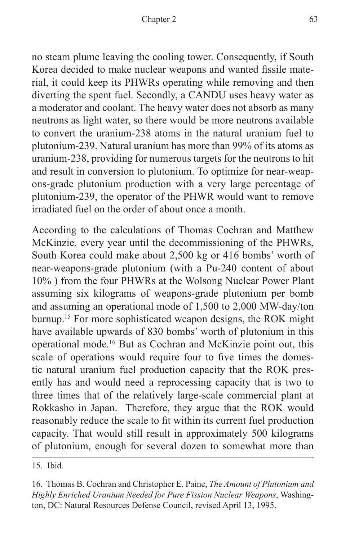no steam plume leaving the cooling tower. Consequently, if South Korea decided to make nuclear weapons and wanted fissile material, it could keep its PHWRs operating while removing and then diverting the spent fuel. Secondly, a CANDU uses heavy water as a moderator and coolant. The heavy water does not absorb as many neutrons as light water, so there would be more neutrons available to convert the uranium-238 atoms in the natural uranium fuel to plutonium-239. Natural uranium has more than 99% of its atoms as uranium-238, providing for numerous targets for the neutrons to hit and result in conversion to plutonium. To optimize for near-weapons-grade plutonium production with a very large percentage of plutonium-239, the operator of the PHWR would want to remove irradiated fuel on the order of about once a month.

According to the calculations of Thomas Cochran and Matthew McKinzie, every year until the decommissioning of the PHWRs, South Korea could make about 2,500 kg or 416 bombs' worth of near-weapons-grade plutonium (with a Pu-240 content of about 10% ) from the four PHWRs at the Wolsong Nuclear Power Plant assuming six kilograms of weapons-grade plutonium per bomb and assuming an operational mode of 1,500 to 2,000 MW-day/ton burnup.15 For more sophisticated weapon designs, the ROK might have available upwards of 830 bombs' worth of plutonium in this operational mode.16 But as Cochran and McKinzie point out, this scale of operations would require four to five times the domestic natural uranium fuel production capacity that the ROK presently has and would need a reprocessing capacity that is two to three times that of the relatively large-scale commercial plant at Rokkasho in Japan. Therefore, they argue that the ROK would reasonably reduce the scale to fit within its current fuel production capacity. That would still result in approximately 500 kilograms of plutonium, enough for several dozen to somewhat more than

15. Ibid.

<sup>16.</sup> Thomas B. Cochran and Christopher E. Paine, *The Amount of Plutonium and Highly Enriched Uranium Needed for Pure Fission Nuclear Weapons*, Washington, DC: Natural Resources Defense Council, revised April 13, 1995.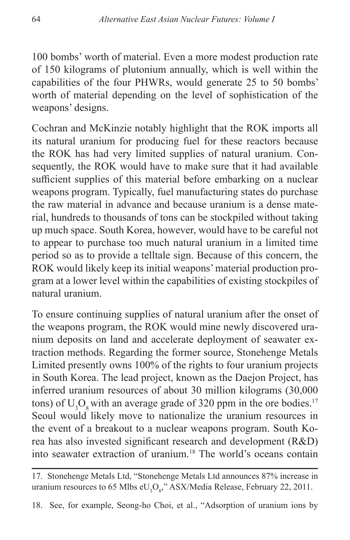100 bombs' worth of material. Even a more modest production rate of 150 kilograms of plutonium annually, which is well within the capabilities of the four PHWRs, would generate 25 to 50 bombs' worth of material depending on the level of sophistication of the weapons' designs.

Cochran and McKinzie notably highlight that the ROK imports all its natural uranium for producing fuel for these reactors because the ROK has had very limited supplies of natural uranium. Consequently, the ROK would have to make sure that it had available sufficient supplies of this material before embarking on a nuclear weapons program. Typically, fuel manufacturing states do purchase the raw material in advance and because uranium is a dense material, hundreds to thousands of tons can be stockpiled without taking up much space. South Korea, however, would have to be careful not to appear to purchase too much natural uranium in a limited time period so as to provide a telltale sign. Because of this concern, the ROK would likely keep its initial weapons' material production program at a lower level within the capabilities of existing stockpiles of natural uranium.

To ensure continuing supplies of natural uranium after the onset of the weapons program, the ROK would mine newly discovered uranium deposits on land and accelerate deployment of seawater extraction methods. Regarding the former source, Stonehenge Metals Limited presently owns 100% of the rights to four uranium projects in South Korea. The lead project, known as the Daejon Project, has inferred uranium resources of about 30 million kilograms (30,000 tons) of  $U_3O_8$  with an average grade of 320 ppm in the ore bodies.<sup>17</sup> Seoul would likely move to nationalize the uranium resources in the event of a breakout to a nuclear weapons program. South Korea has also invested significant research and development (R&D) into seawater extraction of uranium.18 The world's oceans contain

18. See, for example, Seong-ho Choi, et al., "Adsorption of uranium ions by

<sup>17.</sup> Stonehenge Metals Ltd, "Stonehenge Metals Ltd announces 87% increase in uranium resources to 65 Mlbs e $\text{U}_{\text{3}}\text{O}_{\text{8}}$ ," ASX/Media Release, February 22, 2011.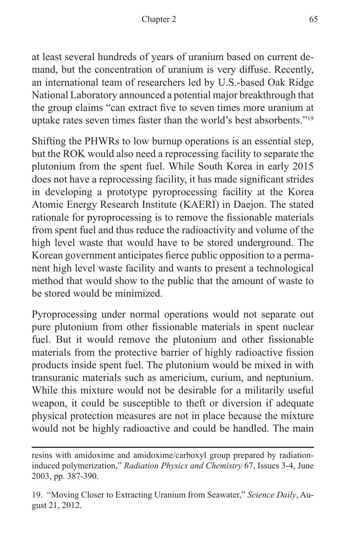at least several hundreds of years of uranium based on current demand, but the concentration of uranium is very diffuse. Recently, an international team of researchers led by U.S.-based Oak Ridge National Laboratory announced a potential major breakthrough that the group claims "can extract five to seven times more uranium at uptake rates seven times faster than the world's best absorbents."19

Shifting the PHWRs to low burnup operations is an essential step, but the ROK would also need a reprocessing facility to separate the plutonium from the spent fuel. While South Korea in early 2015 does not have a reprocessing facility, it has made significant strides in developing a prototype pyroprocessing facility at the Korea Atomic Energy Research Institute (KAERI) in Daejon. The stated rationale for pyroprocessing is to remove the fissionable materials from spent fuel and thus reduce the radioactivity and volume of the high level waste that would have to be stored underground. The Korean government anticipates fierce public opposition to a permanent high level waste facility and wants to present a technological method that would show to the public that the amount of waste to be stored would be minimized.

Pyroprocessing under normal operations would not separate out pure plutonium from other fissionable materials in spent nuclear fuel. But it would remove the plutonium and other fissionable materials from the protective barrier of highly radioactive fission products inside spent fuel. The plutonium would be mixed in with transuranic materials such as americium, curium, and neptunium. While this mixture would not be desirable for a militarily useful weapon, it could be susceptible to theft or diversion if adequate physical protection measures are not in place because the mixture would not be highly radioactive and could be handled. The main

resins with amidoxime and amidoxime/carboxyl group prepared by radiationinduced polymerization," *Radiation Physics and Chemistry* 67, Issues 3-4, June 2003, pp. 387-390.

<sup>19. &</sup>quot;Moving Closer to Extracting Uranium from Seawater," *Science Daily*, August 21, 2012.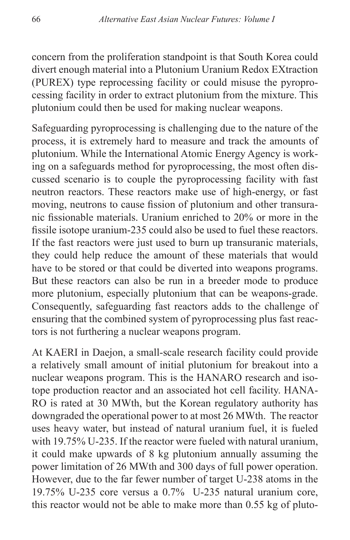concern from the proliferation standpoint is that South Korea could divert enough material into a Plutonium Uranium Redox EXtraction (PUREX) type reprocessing facility or could misuse the pyroprocessing facility in order to extract plutonium from the mixture. This plutonium could then be used for making nuclear weapons.

Safeguarding pyroprocessing is challenging due to the nature of the process, it is extremely hard to measure and track the amounts of plutonium. While the International Atomic Energy Agency is working on a safeguards method for pyroprocessing, the most often discussed scenario is to couple the pyroprocessing facility with fast neutron reactors. These reactors make use of high-energy, or fast moving, neutrons to cause fission of plutonium and other transuranic fissionable materials. Uranium enriched to 20% or more in the fissile isotope uranium-235 could also be used to fuel these reactors. If the fast reactors were just used to burn up transuranic materials, they could help reduce the amount of these materials that would have to be stored or that could be diverted into weapons programs. But these reactors can also be run in a breeder mode to produce more plutonium, especially plutonium that can be weapons-grade. Consequently, safeguarding fast reactors adds to the challenge of ensuring that the combined system of pyroprocessing plus fast reactors is not furthering a nuclear weapons program.

At KAERI in Daejon, a small-scale research facility could provide a relatively small amount of initial plutonium for breakout into a nuclear weapons program. This is the HANARO research and isotope production reactor and an associated hot cell facility. HANA-RO is rated at 30 MWth, but the Korean regulatory authority has downgraded the operational power to at most 26 MWth. The reactor uses heavy water, but instead of natural uranium fuel, it is fueled with 19.75% U-235. If the reactor were fueled with natural uranium, it could make upwards of 8 kg plutonium annually assuming the power limitation of 26 MWth and 300 days of full power operation. However, due to the far fewer number of target U-238 atoms in the 19.75% U-235 core versus a 0.7% U-235 natural uranium core, this reactor would not be able to make more than 0.55 kg of pluto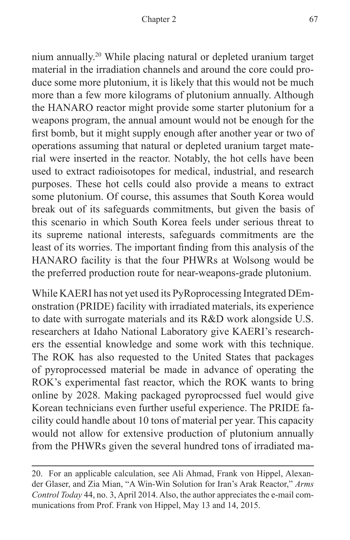nium annually.20 While placing natural or depleted uranium target material in the irradiation channels and around the core could produce some more plutonium, it is likely that this would not be much more than a few more kilograms of plutonium annually. Although the HANARO reactor might provide some starter plutonium for a weapons program, the annual amount would not be enough for the first bomb, but it might supply enough after another year or two of operations assuming that natural or depleted uranium target material were inserted in the reactor. Notably, the hot cells have been used to extract radioisotopes for medical, industrial, and research purposes. These hot cells could also provide a means to extract some plutonium. Of course, this assumes that South Korea would break out of its safeguards commitments, but given the basis of this scenario in which South Korea feels under serious threat to its supreme national interests, safeguards commitments are the least of its worries. The important finding from this analysis of the HANARO facility is that the four PHWRs at Wolsong would be the preferred production route for near-weapons-grade plutonium.

While KAERI has not yet used its PyRoprocessing Integrated DEmonstration (PRIDE) facility with irradiated materials, its experience to date with surrogate materials and its R&D work alongside U.S. researchers at Idaho National Laboratory give KAERI's researchers the essential knowledge and some work with this technique. The ROK has also requested to the United States that packages of pyroprocessed material be made in advance of operating the ROK's experimental fast reactor, which the ROK wants to bring online by 2028. Making packaged pyroprocssed fuel would give Korean technicians even further useful experience. The PRIDE facility could handle about 10 tons of material per year. This capacity would not allow for extensive production of plutonium annually from the PHWRs given the several hundred tons of irradiated ma-

<sup>20.</sup> For an applicable calculation, see Ali Ahmad, Frank von Hippel, Alexander Glaser, and Zia Mian, "A Win-Win Solution for Iran's Arak Reactor," *Arms Control Today* 44, no. 3, April 2014. Also, the author appreciates the e-mail communications from Prof. Frank von Hippel, May 13 and 14, 2015.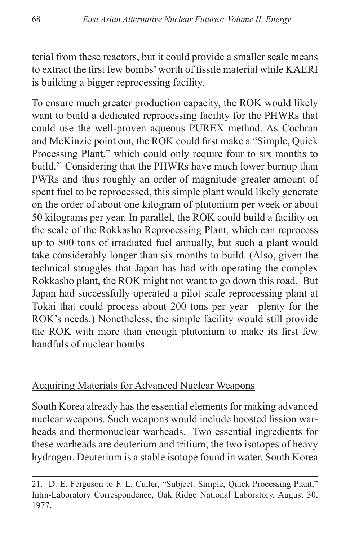terial from these reactors, but it could provide a smaller scale means to extract the first few bombs' worth of fissile material while KAERI is building a bigger reprocessing facility.

To ensure much greater production capacity, the ROK would likely want to build a dedicated reprocessing facility for the PHWRs that could use the well-proven aqueous PUREX method. As Cochran and McKinzie point out, the ROK could first make a "Simple, Quick Processing Plant," which could only require four to six months to build.21 Considering that the PHWRs have much lower burnup than PWRs and thus roughly an order of magnitude greater amount of spent fuel to be reprocessed, this simple plant would likely generate on the order of about one kilogram of plutonium per week or about 50 kilograms per year. In parallel, the ROK could build a facility on the scale of the Rokkasho Reprocessing Plant, which can reprocess up to 800 tons of irradiated fuel annually, but such a plant would take considerably longer than six months to build. (Also, given the technical struggles that Japan has had with operating the complex Rokkasho plant, the ROK might not want to go down this road. But Japan had successfully operated a pilot scale reprocessing plant at Tokai that could process about 200 tons per year—plenty for the ROK's needs.) Nonetheless, the simple facility would still provide the ROK with more than enough plutonium to make its first few handfuls of nuclear bombs.

#### Acquiring Materials for Advanced Nuclear Weapons

South Korea already has the essential elements for making advanced nuclear weapons. Such weapons would include boosted fission warheads and thermonuclear warheads. Two essential ingredients for these warheads are deuterium and tritium, the two isotopes of heavy hydrogen. Deuterium is a stable isotope found in water. South Korea

<sup>21.</sup> D. E. Ferguson to F. L. Culler, "Subject: Simple, Quick Processing Plant," Intra-Laboratory Correspondence, Oak Ridge National Laboratory, August 30, 1977.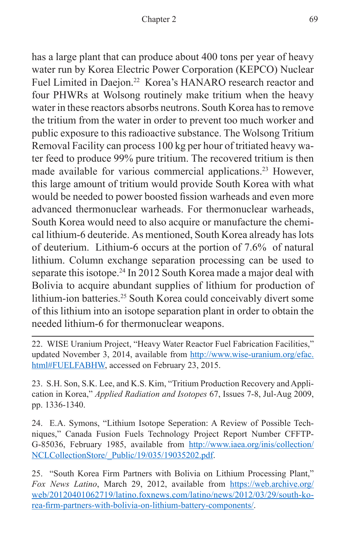has a large plant that can produce about 400 tons per year of heavy water run by Korea Electric Power Corporation (KEPCO) Nuclear Fuel Limited in Daejon.<sup>22</sup> Korea's HANARO research reactor and four PHWRs at Wolsong routinely make tritium when the heavy water in these reactors absorbs neutrons. South Korea has to remove the tritium from the water in order to prevent too much worker and public exposure to this radioactive substance. The Wolsong Tritium Removal Facility can process 100 kg per hour of tritiated heavy water feed to produce 99% pure tritium. The recovered tritium is then made available for various commercial applications.<sup>23</sup> However, this large amount of tritium would provide South Korea with what would be needed to power boosted fission warheads and even more advanced thermonuclear warheads. For thermonuclear warheads, South Korea would need to also acquire or manufacture the chemical lithium-6 deuteride. As mentioned, South Korea already has lots of deuterium. Lithium-6 occurs at the portion of 7.6% of natural lithium. Column exchange separation processing can be used to separate this isotope.<sup>24</sup> In 2012 South Korea made a major deal with Bolivia to acquire abundant supplies of lithium for production of lithium-ion batteries.25 South Korea could conceivably divert some of this lithium into an isotope separation plant in order to obtain the needed lithium-6 for thermonuclear weapons.

22. WISE Uranium Project, "Heavy Water Reactor Fuel Fabrication Facilities," updated November 3, 2014, available from [http://www.wise-uranium.org/efac.](http://www.wise-uranium.org/efac.html#FUELFABHW) [html#FUELFABHW,](http://www.wise-uranium.org/efac.html#FUELFABHW) accessed on February 23, 2015.

23. S.H. Son, S.K. Lee, and K.S. Kim, "Tritium Production Recovery and Application in Korea," *Applied Radiation and Isotopes* 67, Issues 7-8, Jul-Aug 2009, pp. 1336-1340.

24. E.A. Symons, "Lithium Isotope Seperation: A Review of Possible Techniques," Canada Fusion Fuels Technology Project Report Number CFFTP-G-85036, February 1985, available from [http://www.iaea.org/inis/collection/](http://www.iaea.org/inis/collection/NCLCollectionStore/_Public/19/035/19035202.pdf) [NCLCollectionStore/\\_Public/19/035/19035202.pdf](http://www.iaea.org/inis/collection/NCLCollectionStore/_Public/19/035/19035202.pdf).

25. "South Korea Firm Partners with Bolivia on Lithium Processing Plant," *Fox News Latino*, March 29, 2012, available from [https://web.archive.org/](https://web.archive.org/web/20120401062719/latino.foxnews.com/latino/news/2012/03/29/south-korea-firm-partners-with-bolivia-on-lithium-battery-components/) [web/20120401062719/latino.foxnews.com/latino/news/2012/03/29/south-ko](https://web.archive.org/web/20120401062719/latino.foxnews.com/latino/news/2012/03/29/south-korea-firm-partners-with-bolivia-on-lithium-battery-components/)[rea-firm-partners-with-bolivia-on-lithium-battery-components/](https://web.archive.org/web/20120401062719/latino.foxnews.com/latino/news/2012/03/29/south-korea-firm-partners-with-bolivia-on-lithium-battery-components/).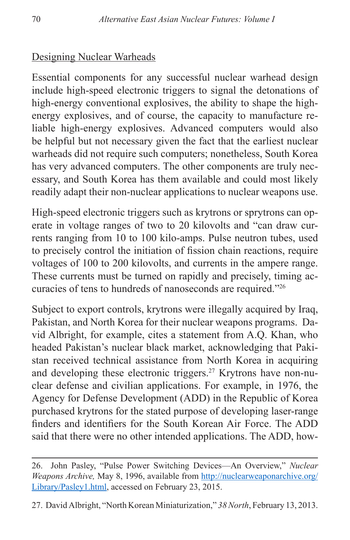# Designing Nuclear Warheads

Essential components for any successful nuclear warhead design include high-speed electronic triggers to signal the detonations of high-energy conventional explosives, the ability to shape the highenergy explosives, and of course, the capacity to manufacture reliable high-energy explosives. Advanced computers would also be helpful but not necessary given the fact that the earliest nuclear warheads did not require such computers; nonetheless, South Korea has very advanced computers. The other components are truly necessary, and South Korea has them available and could most likely readily adapt their non-nuclear applications to nuclear weapons use.

High-speed electronic triggers such as krytrons or sprytrons can operate in voltage ranges of two to 20 kilovolts and "can draw currents ranging from 10 to 100 kilo-amps. Pulse neutron tubes, used to precisely control the initiation of fission chain reactions, require voltages of 100 to 200 kilovolts, and currents in the ampere range. These currents must be turned on rapidly and precisely, timing accuracies of tens to hundreds of nanoseconds are required."26

Subject to export controls, krytrons were illegally acquired by Iraq, Pakistan, and North Korea for their nuclear weapons programs. David Albright, for example, cites a statement from A.Q. Khan, who headed Pakistan's nuclear black market, acknowledging that Pakistan received technical assistance from North Korea in acquiring and developing these electronic triggers.27 Krytrons have non-nuclear defense and civilian applications. For example, in 1976, the Agency for Defense Development (ADD) in the Republic of Korea purchased krytrons for the stated purpose of developing laser-range finders and identifiers for the South Korean Air Force. The ADD said that there were no other intended applications. The ADD, how-

<sup>26.</sup> John Pasley, "Pulse Power Switching Devices—An Overview," *Nuclear Weapons Archive,* May 8, 1996, available from [http://nuclearweaponarchive.org/](http://nuclearweaponarchive.org/Library/Pasley1.html) [Library/Pasley1.html,](http://nuclearweaponarchive.org/Library/Pasley1.html) accessed on February 23, 2015.

<sup>27.</sup> David Albright, "North Korean Miniaturization," *38 North*, February 13, 2013.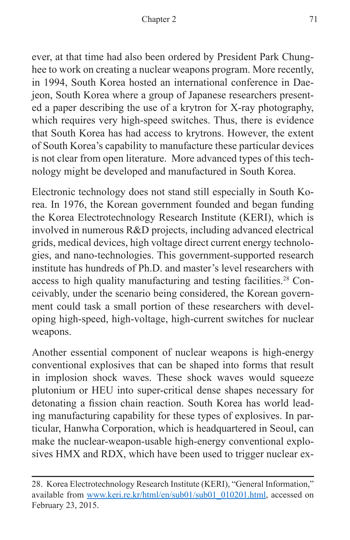ever, at that time had also been ordered by President Park Chunghee to work on creating a nuclear weapons program. More recently, in 1994, South Korea hosted an international conference in Daejeon, South Korea where a group of Japanese researchers presented a paper describing the use of a krytron for X-ray photography, which requires very high-speed switches. Thus, there is evidence that South Korea has had access to krytrons. However, the extent of South Korea's capability to manufacture these particular devices is not clear from open literature. More advanced types of this technology might be developed and manufactured in South Korea.

Electronic technology does not stand still especially in South Korea. In 1976, the Korean government founded and began funding the Korea Electrotechnology Research Institute (KERI), which is involved in numerous R&D projects, including advanced electrical grids, medical devices, high voltage direct current energy technologies, and nano-technologies. This government-supported research institute has hundreds of Ph.D. and master's level researchers with access to high quality manufacturing and testing facilities.<sup>28</sup> Conceivably, under the scenario being considered, the Korean government could task a small portion of these researchers with developing high-speed, high-voltage, high-current switches for nuclear weapons.

Another essential component of nuclear weapons is high-energy conventional explosives that can be shaped into forms that result in implosion shock waves. These shock waves would squeeze plutonium or HEU into super-critical dense shapes necessary for detonating a fission chain reaction. South Korea has world leading manufacturing capability for these types of explosives. In particular, Hanwha Corporation, which is headquartered in Seoul, can make the nuclear-weapon-usable high-energy conventional explosives HMX and RDX, which have been used to trigger nuclear ex-

<sup>28.</sup> Korea Electrotechnology Research Institute (KERI), "General Information," available from [www.keri.re.kr/html/en/sub01/sub01\\_010201.html,](www.keri.re.kr/html/en/sub01/sub01_010201.html) accessed on February 23, 2015.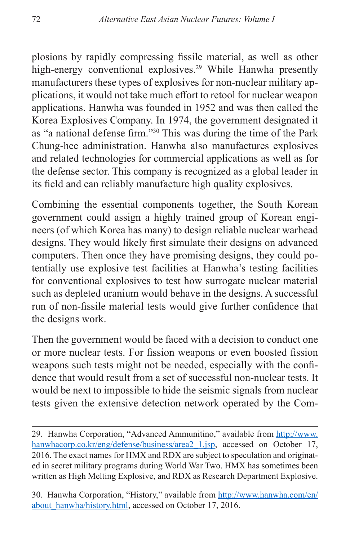plosions by rapidly compressing fissile material, as well as other high-energy conventional explosives.<sup>29</sup> While Hanwha presently manufacturers these types of explosives for non-nuclear military applications, it would not take much effort to retool for nuclear weapon applications. Hanwha was founded in 1952 and was then called the Korea Explosives Company. In 1974, the government designated it as "a national defense firm."30 This was during the time of the Park Chung-hee administration. Hanwha also manufactures explosives and related technologies for commercial applications as well as for the defense sector. This company is recognized as a global leader in its field and can reliably manufacture high quality explosives.

Combining the essential components together, the South Korean government could assign a highly trained group of Korean engineers (of which Korea has many) to design reliable nuclear warhead designs. They would likely first simulate their designs on advanced computers. Then once they have promising designs, they could potentially use explosive test facilities at Hanwha's testing facilities for conventional explosives to test how surrogate nuclear material such as depleted uranium would behave in the designs. A successful run of non-fissile material tests would give further confidence that the designs work.

Then the government would be faced with a decision to conduct one or more nuclear tests. For fission weapons or even boosted fission weapons such tests might not be needed, especially with the confidence that would result from a set of successful non-nuclear tests. It would be next to impossible to hide the seismic signals from nuclear tests given the extensive detection network operated by the Com-

30. Hanwha Corporation, "History," available from [http://www.hanwha.com/en/](http://www.hanwha.com/en/about_hanwha/history.html) about hanwha/history.html, accessed on October 17, 2016.

<sup>29.</sup> Hanwha Corporation, "Advanced Ammunitino," available from [http://www.](http://www.hanwhacorp.co.kr/eng/defense/business/area2_1.jsp) hanwhacorp.co.kr/eng/defense/business/area2 1.jsp, accessed on October 17, 2016. The exact names for HMX and RDX are subject to speculation and originated in secret military programs during World War Two. HMX has sometimes been written as High Melting Explosive, and RDX as Research Department Explosive.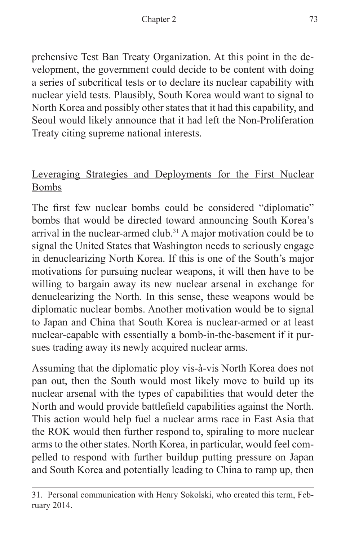prehensive Test Ban Treaty Organization. At this point in the development, the government could decide to be content with doing a series of subcritical tests or to declare its nuclear capability with nuclear yield tests. Plausibly, South Korea would want to signal to North Korea and possibly other states that it had this capability, and Seoul would likely announce that it had left the Non-Proliferation Treaty citing supreme national interests.

# Leveraging Strategies and Deployments for the First Nuclear Bombs

The first few nuclear bombs could be considered "diplomatic" bombs that would be directed toward announcing South Korea's arrival in the nuclear-armed club.<sup>31</sup> A major motivation could be to signal the United States that Washington needs to seriously engage in denuclearizing North Korea. If this is one of the South's major motivations for pursuing nuclear weapons, it will then have to be willing to bargain away its new nuclear arsenal in exchange for denuclearizing the North. In this sense, these weapons would be diplomatic nuclear bombs. Another motivation would be to signal to Japan and China that South Korea is nuclear-armed or at least nuclear-capable with essentially a bomb-in-the-basement if it pursues trading away its newly acquired nuclear arms.

Assuming that the diplomatic ploy vis-à-vis North Korea does not pan out, then the South would most likely move to build up its nuclear arsenal with the types of capabilities that would deter the North and would provide battlefield capabilities against the North. This action would help fuel a nuclear arms race in East Asia that the ROK would then further respond to, spiraling to more nuclear arms to the other states. North Korea, in particular, would feel compelled to respond with further buildup putting pressure on Japan and South Korea and potentially leading to China to ramp up, then

<sup>31.</sup> Personal communication with Henry Sokolski, who created this term, February 2014.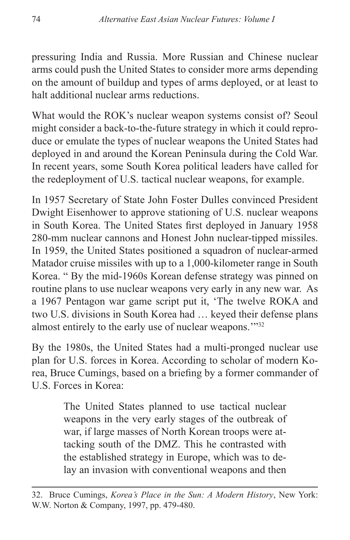pressuring India and Russia. More Russian and Chinese nuclear arms could push the United States to consider more arms depending on the amount of buildup and types of arms deployed, or at least to halt additional nuclear arms reductions.

What would the ROK's nuclear weapon systems consist of? Seoul might consider a back-to-the-future strategy in which it could reproduce or emulate the types of nuclear weapons the United States had deployed in and around the Korean Peninsula during the Cold War. In recent years, some South Korea political leaders have called for the redeployment of U.S. tactical nuclear weapons, for example.

In 1957 Secretary of State John Foster Dulles convinced President Dwight Eisenhower to approve stationing of U.S. nuclear weapons in South Korea. The United States first deployed in January 1958 280-mm nuclear cannons and Honest John nuclear-tipped missiles. In 1959, the United States positioned a squadron of nuclear-armed Matador cruise missiles with up to a 1,000-kilometer range in South Korea. " By the mid-1960s Korean defense strategy was pinned on routine plans to use nuclear weapons very early in any new war. As a 1967 Pentagon war game script put it, 'The twelve ROKA and two U.S. divisions in South Korea had … keyed their defense plans almost entirely to the early use of nuclear weapons.""32

By the 1980s, the United States had a multi-pronged nuclear use plan for U.S. forces in Korea. According to scholar of modern Korea, Bruce Cumings, based on a briefing by a former commander of U.S. Forces in Korea:

> The United States planned to use tactical nuclear weapons in the very early stages of the outbreak of war, if large masses of North Korean troops were attacking south of the DMZ. This he contrasted with the established strategy in Europe, which was to delay an invasion with conventional weapons and then

<sup>32.</sup> Bruce Cumings, *Korea's Place in the Sun: A Modern History*, New York: W.W. Norton & Company, 1997, pp. 479-480.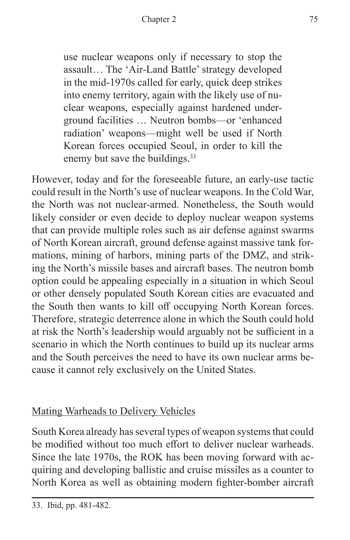use nuclear weapons only if necessary to stop the assault… The 'Air-Land Battle' strategy developed in the mid-1970s called for early, quick deep strikes into enemy territory, again with the likely use of nuclear weapons, especially against hardened underground facilities … Neutron bombs—or 'enhanced radiation' weapons—might well be used if North Korean forces occupied Seoul, in order to kill the enemy but save the buildings.<sup>33</sup>

However, today and for the foreseeable future, an early-use tactic could result in the North's use of nuclear weapons. In the Cold War, the North was not nuclear-armed. Nonetheless, the South would likely consider or even decide to deploy nuclear weapon systems that can provide multiple roles such as air defense against swarms of North Korean aircraft, ground defense against massive tank formations, mining of harbors, mining parts of the DMZ, and striking the North's missile bases and aircraft bases. The neutron bomb option could be appealing especially in a situation in which Seoul or other densely populated South Korean cities are evacuated and the South then wants to kill off occupying North Korean forces. Therefore, strategic deterrence alone in which the South could hold at risk the North's leadership would arguably not be sufficient in a scenario in which the North continues to build up its nuclear arms and the South perceives the need to have its own nuclear arms because it cannot rely exclusively on the United States.

# Mating Warheads to Delivery Vehicles

South Korea already has several types of weapon systems that could be modified without too much effort to deliver nuclear warheads. Since the late 1970s, the ROK has been moving forward with acquiring and developing ballistic and cruise missiles as a counter to North Korea as well as obtaining modern fighter-bomber aircraft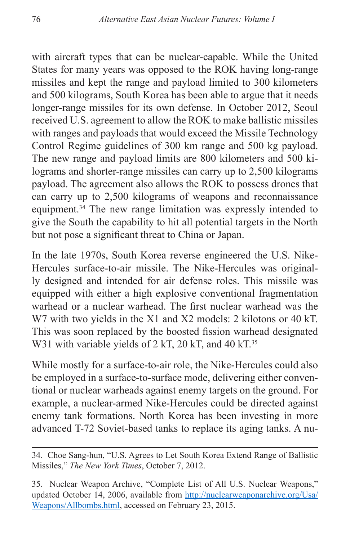with aircraft types that can be nuclear-capable. While the United States for many years was opposed to the ROK having long-range missiles and kept the range and payload limited to 300 kilometers and 500 kilograms, South Korea has been able to argue that it needs longer-range missiles for its own defense. In October 2012, Seoul received U.S. agreement to allow the ROK to make ballistic missiles with ranges and payloads that would exceed the Missile Technology Control Regime guidelines of 300 km range and 500 kg payload. The new range and payload limits are 800 kilometers and 500 kilograms and shorter-range missiles can carry up to 2,500 kilograms payload. The agreement also allows the ROK to possess drones that can carry up to 2,500 kilograms of weapons and reconnaissance equipment.34 The new range limitation was expressly intended to give the South the capability to hit all potential targets in the North but not pose a significant threat to China or Japan.

In the late 1970s, South Korea reverse engineered the U.S. Nike-Hercules surface-to-air missile. The Nike-Hercules was originally designed and intended for air defense roles. This missile was equipped with either a high explosive conventional fragmentation warhead or a nuclear warhead. The first nuclear warhead was the W7 with two yields in the X1 and X2 models: 2 kilotons or 40 kT. This was soon replaced by the boosted fission warhead designated W31 with variable yields of  $2$  kT,  $20$  kT, and  $40$  kT.<sup>35</sup>

While mostly for a surface-to-air role, the Nike-Hercules could also be employed in a surface-to-surface mode, delivering either conventional or nuclear warheads against enemy targets on the ground. For example, a nuclear-armed Nike-Hercules could be directed against enemy tank formations. North Korea has been investing in more advanced T-72 Soviet-based tanks to replace its aging tanks. A nu-

<sup>34.</sup> Choe Sang-hun, "U.S. Agrees to Let South Korea Extend Range of Ballistic Missiles," *The New York Times*, October 7, 2012.

<sup>35.</sup> Nuclear Weapon Archive, "Complete List of All U.S. Nuclear Weapons," updated October 14, 2006, available from [http://nuclearweaponarchive.org/Usa/](http://nuclearweaponarchive.org/Usa/Weapons/Allbombs.html) [Weapons/Allbombs.html](http://nuclearweaponarchive.org/Usa/Weapons/Allbombs.html), accessed on February 23, 2015.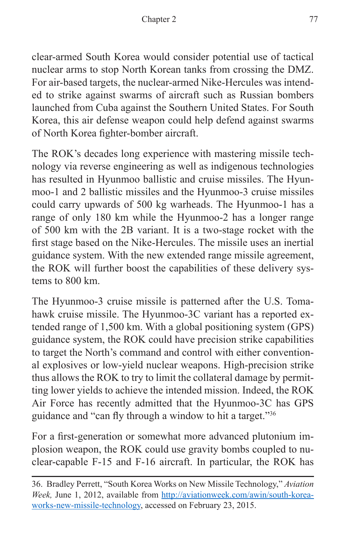clear-armed South Korea would consider potential use of tactical nuclear arms to stop North Korean tanks from crossing the DMZ. For air-based targets, the nuclear-armed Nike-Hercules was intended to strike against swarms of aircraft such as Russian bombers launched from Cuba against the Southern United States. For South Korea, this air defense weapon could help defend against swarms of North Korea fighter-bomber aircraft.

The ROK's decades long experience with mastering missile technology via reverse engineering as well as indigenous technologies has resulted in Hyunmoo ballistic and cruise missiles. The Hyunmoo-1 and 2 ballistic missiles and the Hyunmoo-3 cruise missiles could carry upwards of 500 kg warheads. The Hyunmoo-1 has a range of only 180 km while the Hyunmoo-2 has a longer range of 500 km with the 2B variant. It is a two-stage rocket with the first stage based on the Nike-Hercules. The missile uses an inertial guidance system. With the new extended range missile agreement, the ROK will further boost the capabilities of these delivery systems to 800 km.

The Hyunmoo-3 cruise missile is patterned after the U.S. Tomahawk cruise missile. The Hyunmoo-3C variant has a reported extended range of 1,500 km. With a global positioning system (GPS) guidance system, the ROK could have precision strike capabilities to target the North's command and control with either conventional explosives or low-yield nuclear weapons. High-precision strike thus allows the ROK to try to limit the collateral damage by permitting lower yields to achieve the intended mission. Indeed, the ROK Air Force has recently admitted that the Hyunmoo-3C has GPS guidance and "can fly through a window to hit a target."<sup>36</sup>

For a first-generation or somewhat more advanced plutonium implosion weapon, the ROK could use gravity bombs coupled to nuclear-capable F-15 and F-16 aircraft. In particular, the ROK has

<sup>36.</sup> Bradley Perrett, "South Korea Works on New Missile Technology," *Aviation Week,* June 1, 2012, available from [http://aviationweek.com/awin/south-korea](http://aviationweek.com/awin/south-korea-works-new-missile-technology)[works-new-missile-technology](http://aviationweek.com/awin/south-korea-works-new-missile-technology), accessed on February 23, 2015.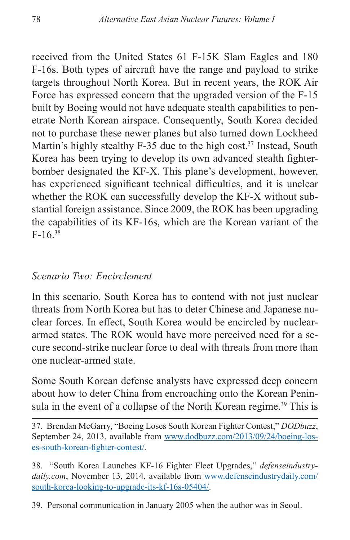received from the United States 61 F-15K Slam Eagles and 180 F-16s. Both types of aircraft have the range and payload to strike targets throughout North Korea. But in recent years, the ROK Air Force has expressed concern that the upgraded version of the F-15 built by Boeing would not have adequate stealth capabilities to penetrate North Korean airspace. Consequently, South Korea decided not to purchase these newer planes but also turned down Lockheed Martin's highly stealthy  $F-35$  due to the high cost.<sup>37</sup> Instead, South Korea has been trying to develop its own advanced stealth fighterbomber designated the KF-X. This plane's development, however, has experienced significant technical difficulties, and it is unclear whether the ROK can successfully develop the KF-X without substantial foreign assistance. Since 2009, the ROK has been upgrading the capabilities of its KF-16s, which are the Korean variant of the  $F-16.38$ 

#### *Scenario Two: Encirclement*

In this scenario, South Korea has to contend with not just nuclear threats from North Korea but has to deter Chinese and Japanese nuclear forces. In effect, South Korea would be encircled by nucleararmed states. The ROK would have more perceived need for a secure second-strike nuclear force to deal with threats from more than one nuclear-armed state.

Some South Korean defense analysts have expressed deep concern about how to deter China from encroaching onto the Korean Peninsula in the event of a collapse of the North Korean regime.<sup>39</sup> This is

37. Brendan McGarry, "Boeing Loses South Korean Fighter Contest," *DODbuzz*, September 24, 2013, available from [www.dodbuzz.com/2013/09/24/boeing-los](www.dodbuzz.com/2013/09/24/boeing-loses-south-korean-fighter-contest/)[es-south-korean-fighter-contest/](www.dodbuzz.com/2013/09/24/boeing-loses-south-korean-fighter-contest/)*.*

38. "South Korea Launches KF-16 Fighter Fleet Upgrades," *defenseindustrydaily.com*, November 13, 2014, available from [www.defenseindustrydaily.com/](www.defenseindustrydaily.com/south-korea-looking-to-upgrade-its-kf-16s-05404/) [south-korea-looking-to-upgrade-its-kf-16s-05404/.](www.defenseindustrydaily.com/south-korea-looking-to-upgrade-its-kf-16s-05404/)

39. Personal communication in January 2005 when the author was in Seoul.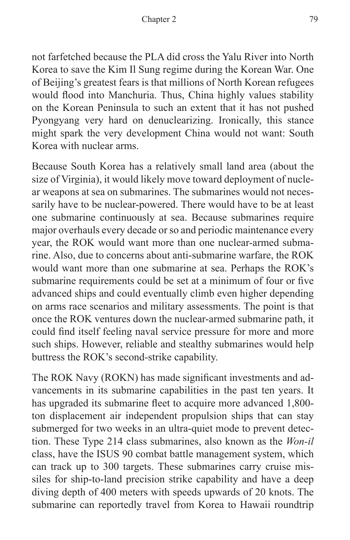not farfetched because the PLA did cross the Yalu River into North Korea to save the Kim Il Sung regime during the Korean War. One of Beijing's greatest fears is that millions of North Korean refugees would flood into Manchuria. Thus, China highly values stability on the Korean Peninsula to such an extent that it has not pushed Pyongyang very hard on denuclearizing. Ironically, this stance might spark the very development China would not want: South Korea with nuclear arms.

Because South Korea has a relatively small land area (about the size of Virginia), it would likely move toward deployment of nuclear weapons at sea on submarines. The submarines would not necessarily have to be nuclear-powered. There would have to be at least one submarine continuously at sea. Because submarines require major overhauls every decade or so and periodic maintenance every year, the ROK would want more than one nuclear-armed submarine. Also, due to concerns about anti-submarine warfare, the ROK would want more than one submarine at sea. Perhaps the ROK's submarine requirements could be set at a minimum of four or five advanced ships and could eventually climb even higher depending on arms race scenarios and military assessments. The point is that once the ROK ventures down the nuclear-armed submarine path, it could find itself feeling naval service pressure for more and more such ships. However, reliable and stealthy submarines would help buttress the ROK's second-strike capability.

The ROK Navy (ROKN) has made significant investments and advancements in its submarine capabilities in the past ten years. It has upgraded its submarine fleet to acquire more advanced 1,800 ton displacement air independent propulsion ships that can stay submerged for two weeks in an ultra-quiet mode to prevent detection. These Type 214 class submarines, also known as the *Won-il* class, have the ISUS 90 combat battle management system, which can track up to 300 targets. These submarines carry cruise missiles for ship-to-land precision strike capability and have a deep diving depth of 400 meters with speeds upwards of 20 knots. The submarine can reportedly travel from Korea to Hawaii roundtrip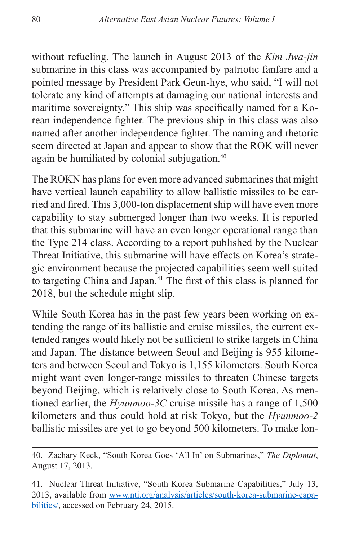without refueling. The launch in August 2013 of the *Kim Jwa-jin* submarine in this class was accompanied by patriotic fanfare and a pointed message by President Park Geun-hye, who said, "I will not tolerate any kind of attempts at damaging our national interests and maritime sovereignty." This ship was specifically named for a Korean independence fighter. The previous ship in this class was also named after another independence fighter. The naming and rhetoric seem directed at Japan and appear to show that the ROK will never again be humiliated by colonial subjugation.<sup>40</sup>

The ROKN has plans for even more advanced submarines that might have vertical launch capability to allow ballistic missiles to be carried and fired. This 3,000-ton displacement ship will have even more capability to stay submerged longer than two weeks. It is reported that this submarine will have an even longer operational range than the Type 214 class. According to a report published by the Nuclear Threat Initiative, this submarine will have effects on Korea's strategic environment because the projected capabilities seem well suited to targeting China and Japan.<sup>41</sup> The first of this class is planned for 2018, but the schedule might slip.

While South Korea has in the past few years been working on extending the range of its ballistic and cruise missiles, the current extended ranges would likely not be sufficient to strike targets in China and Japan. The distance between Seoul and Beijing is 955 kilometers and between Seoul and Tokyo is 1,155 kilometers. South Korea might want even longer-range missiles to threaten Chinese targets beyond Beijing, which is relatively close to South Korea. As mentioned earlier, the *Hyunmoo-3C* cruise missile has a range of 1,500 kilometers and thus could hold at risk Tokyo, but the *Hyunmoo-2* ballistic missiles are yet to go beyond 500 kilometers. To make lon-

<sup>40.</sup> Zachary Keck, "South Korea Goes 'All In' on Submarines," *The Diplomat*, August 17, 2013.

<sup>41.</sup> Nuclear Threat Initiative, "South Korea Submarine Capabilities," July 13, 2013, available from [www.nti.org/analysis/articles/south-korea-submarine-capa](www.nti.org/analysis/articles/south-korea-submarine-capabilities/)[bilities/](www.nti.org/analysis/articles/south-korea-submarine-capabilities/), accessed on February 24, 2015.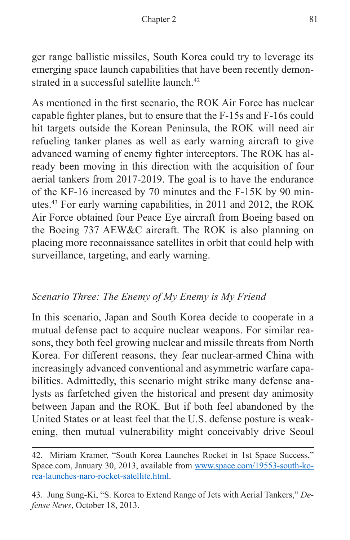ger range ballistic missiles, South Korea could try to leverage its emerging space launch capabilities that have been recently demonstrated in a successful satellite launch.<sup>42</sup>

As mentioned in the first scenario, the ROK Air Force has nuclear capable fighter planes, but to ensure that the F-15s and F-16s could hit targets outside the Korean Peninsula, the ROK will need air refueling tanker planes as well as early warning aircraft to give advanced warning of enemy fighter interceptors. The ROK has already been moving in this direction with the acquisition of four aerial tankers from 2017-2019. The goal is to have the endurance of the KF-16 increased by 70 minutes and the F-15K by 90 minutes.43 For early warning capabilities, in 2011 and 2012, the ROK Air Force obtained four Peace Eye aircraft from Boeing based on the Boeing 737 AEW&C aircraft. The ROK is also planning on placing more reconnaissance satellites in orbit that could help with surveillance, targeting, and early warning.

#### *Scenario Three: The Enemy of My Enemy is My Friend*

In this scenario, Japan and South Korea decide to cooperate in a mutual defense pact to acquire nuclear weapons. For similar reasons, they both feel growing nuclear and missile threats from North Korea. For different reasons, they fear nuclear-armed China with increasingly advanced conventional and asymmetric warfare capabilities. Admittedly, this scenario might strike many defense analysts as farfetched given the historical and present day animosity between Japan and the ROK. But if both feel abandoned by the United States or at least feel that the U.S. defense posture is weakening, then mutual vulnerability might conceivably drive Seoul

<sup>42.</sup> Miriam Kramer, "South Korea Launches Rocket in 1st Space Success," Space.com, January 30, 2013, available from [www.space.com/19553-south-ko](www.space.com/19553-south-korea-launches-naro-rocket-satellite.html)[rea-launches-naro-rocket-satellite.html](www.space.com/19553-south-korea-launches-naro-rocket-satellite.html).

<sup>43.</sup> Jung Sung-Ki, "S. Korea to Extend Range of Jets with Aerial Tankers," *Defense News*, October 18, 2013.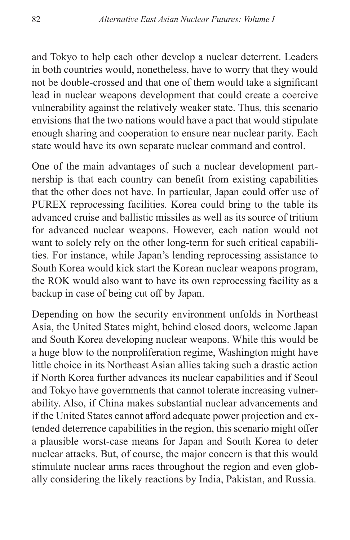and Tokyo to help each other develop a nuclear deterrent. Leaders in both countries would, nonetheless, have to worry that they would not be double-crossed and that one of them would take a significant lead in nuclear weapons development that could create a coercive vulnerability against the relatively weaker state. Thus, this scenario envisions that the two nations would have a pact that would stipulate enough sharing and cooperation to ensure near nuclear parity. Each state would have its own separate nuclear command and control.

One of the main advantages of such a nuclear development partnership is that each country can benefit from existing capabilities that the other does not have. In particular, Japan could offer use of PUREX reprocessing facilities. Korea could bring to the table its advanced cruise and ballistic missiles as well as its source of tritium for advanced nuclear weapons. However, each nation would not want to solely rely on the other long-term for such critical capabilities. For instance, while Japan's lending reprocessing assistance to South Korea would kick start the Korean nuclear weapons program, the ROK would also want to have its own reprocessing facility as a backup in case of being cut off by Japan.

Depending on how the security environment unfolds in Northeast Asia, the United States might, behind closed doors, welcome Japan and South Korea developing nuclear weapons. While this would be a huge blow to the nonproliferation regime, Washington might have little choice in its Northeast Asian allies taking such a drastic action if North Korea further advances its nuclear capabilities and if Seoul and Tokyo have governments that cannot tolerate increasing vulnerability. Also, if China makes substantial nuclear advancements and if the United States cannot afford adequate power projection and extended deterrence capabilities in the region, this scenario might offer a plausible worst-case means for Japan and South Korea to deter nuclear attacks. But, of course, the major concern is that this would stimulate nuclear arms races throughout the region and even globally considering the likely reactions by India, Pakistan, and Russia.